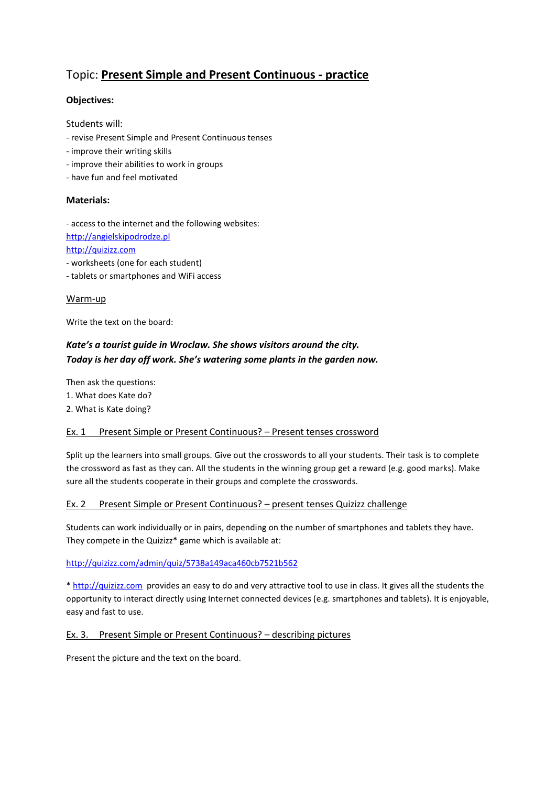# Topic: **Present Simple and Present Continuous - practice**

### **Objectives:**

Students will:

- revise Present Simple and Present Continuous tenses
- improve their writing skills
- improve their abilities to work in groups
- have fun and feel motivated

#### **Materials:**

- access to the internet and the following websites: [http://angielskipodrodze.pl](http://angielskipodrodze.pl/) [http://quizizz.com](http://quizizz.com/)

- worksheets (one for each student)

- tablets or smartphones and WiFi access

#### Warm-up

Write the text on the board:

## *Kate's a tourist guide in Wroclaw. She shows visitors around the city. Today is her day off work. She's watering some plants in the garden now.*

Then ask the questions: 1. What does Kate do? 2. What is Kate doing?

#### Ex. 1 Present Simple or Present Continuous? - Present tenses crossword

Split up the learners into small groups. Give out the crosswords to all your students. Their task is to complete the crossword as fast as they can. All the students in the winning group get a reward (e.g. good marks). Make sure all the students cooperate in their groups and complete the crosswords.

#### Ex. 2 Present Simple or Present Continuous? – present tenses Quizizz challenge

Students can work individually or in pairs, depending on the number of smartphones and tablets they have. They compete in the Quizizz\* game which is available at:

#### <http://quizizz.com/admin/quiz/5738a149aca460cb7521b562>

\* [http://quizizz.com](http://quizizz.com/) provides an easy to do and very attractive tool to use in class. It gives all the students the opportunity to interact directly using Internet connected devices (e.g. smartphones and tablets). It is enjoyable, easy and fast to use.

#### Ex. 3. Present Simple or Present Continuous? – describing pictures

Present the picture and the text on the board.